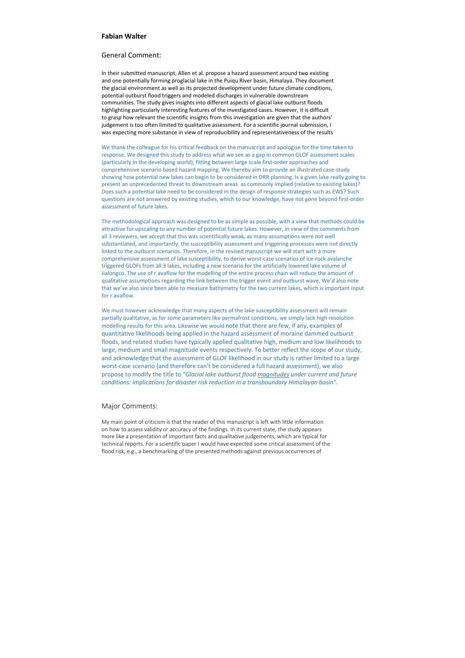## **Fabian Walter**

## General Comment:

In their submitted manuscript, Allen et al. propose a hazard assessment around two existing and one potentially forming proglacial lake in the Puiqu River basin, Himalaya. They document the glacial environment as well as its projected development under future climate conditions, potential outburst flood triggers and modeled discharges in vulnerable downstream communities. The study gives insights into different aspects of glacial lake outburst floods highlighting particularly interesting features of the investigated cases. However, it is difficult to grasp how relevant the scientific insights from this investigation are given that the authors' judgement is too often limited to qualitative assessment. For a scientific journal submission, I was expecting more substance in view of reproducibility and representativeness of the results

We thank the colleague for his critical feedback on the manuscript and apologise for the time taken to response. We designed this study to address what we see as a gap in common GLOF assessment scales (particularly in the developing world), fitting between large scale first-order approaches and comprehensive scenario based hazard mapping. We thereby aim to provide an illustrated case-study showing how potential new lakes can begin to be considered in DRR planning. Is a given lake really going to present an unprecedented threat to downstream areas as commonly implied (relative to existing lakes)? Does such a potential lake need to be considered in the design of response strategies such as EWS? Such questions are not answered by existing studies, which to our knowledge, have not gone beyond first‐order assessment of future lakes.

We must however acknowledge that many aspects of the lake susceptibility assessment will remain partially qualitative, as for some parameters like permafrost conditions, we simply lack high resolution modelling results for this area. Likewise we would note that there are few, if any, examples of quantitative likelihoods being applied in the hazard assessment of moraine dammed outburst floods, and related studies have typically applied qualitative high, medium and low likelihoods to large, medium and small magnitude events respectively. To better reflect the scope of our study, and acknowledge that the assessment of GLOF likelihood in our study is rather limited to a large worst-case scenario (and therefore can't be considered a full hazard assessment), we also propose to modify the title to *"Glacial lake outburst flood magnitudes under current and future conditions: implications for disaster risk reduction in a transboundary Himalayan basin".*

The methodological approach was designed to be as simple as possible, with a view that methods could be attractive for upscaling to any number of potential future lakes. However, in view of the comments from all 3 reviewers, we accept that this was scientifically weak, as many assumptions were not well substantiated, and importantly, the susceptibility assessment and triggering processes were not directly linked to the outburst scenarios. Therefore, in the revised manuscript we will start with a more comprehensive assessment of lake susceptibility, to derive worst-case scenarios of ice-rock avalanche triggered GLOFs from all 3 lakes, including a new scenario for the artificially lowered lake volume of Jialongco. The use of r.avaflow for the modelling of the entire process chain will reduce the amount of qualitative assumptions regarding the link between the trigger event and outburst wave. We'd also note that we've also since been able to measure bathymetry for the two current lakes, which is important input for r.avaflow.

## Major Comments:

My main point of criticism is that the reader of this manuscript is left with little information on how to assess validity or accuracy of the findings. In its current state, the study appears more like a presentation of important facts and qualitative judgements, which are typical for technical reports. For a scientific paper I would have expected some critical assessment of the flood risk, e.g., a benchmarking of the presented methods against previous occurrences of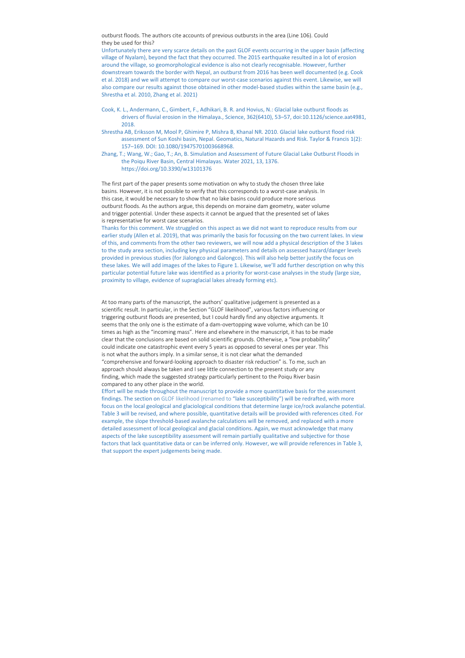outburst floods. The authors cite accounts of previous outbursts in the area (Line 106). Could they be used for this?

Unfortunately there are very scarce details on the past GLOF events occurring in the upper basin (affecting village of Nyalam), beyond the fact that they occurred. The 2015 earthquake resulted in a lot of erosion around the village, so geomorphological evidence is also not clearly recognisable. However, further downstream towards the border with Nepal, an outburst from 2016 has been well documented (e.g. Cook et al. 2018) and we will attempt to compare our worst-case scenarios against this event. Likewise, we will also compare our results against those obtained in other model‐based studies within the same basin (e.g., Shrestha et al. 2010, Zhang et al. 2021)

- Cook, K. L., Andermann, C., Gimbert, F., Adhikari, B. R. and Hovius, N.: Glacial lake outburst floods as drivers of fluvial erosion in the Himalaya., Science, 362(6410), 53–57, doi:10.1126/science.aat4981, 2018.
- Shrestha AB, Eriksson M, Mool P, Ghimire P, Mishra B, Khanal NR. 2010. Glacial lake outburst flood risk assessment of Sun Koshi basin, Nepal. Geomatics, Natural Hazards and Risk. Taylor & Francis 1(2): 157–169. DOI: 10.1080/19475701003668968.
- Zhang, T.; Wang, W.; Gao, T.; An, B. Simulation and Assessment of Future Glacial Lake Outburst Floods in the Poiqu River Basin, Central Himalayas. Water 2021, 13, 1376. https://doi.org/10.3390/w13101376

The first part of the paper presents some motivation on why to study the chosen three lake basins. However, it is not possible to verify that this corresponds to a worst-case analysis. In this case, it would be necessary to show that no lake basins could produce more serious outburst floods. As the authors argue, this depends on moraine dam geometry, water volume and trigger potential. Under these aspects it cannot be argued that the presented set of lakes is representative for worst case scenarios.

Thanks for this comment. We struggled on this aspect as we did not want to reproduce results from our earlier study (Allen et al. 2019), that was primarily the basis for focussing on the two current lakes. In view of this, and comments from the other two reviewers, we will now add a physical description of the 3 lakes to the study area section, including key physical parameters and details on assessed hazard/danger levels provided in previous studies (for Jialongco and Galongco). This will also help better justify the focus on these lakes. We will add images of the lakes to Figure 1. Likewise, we'll add further description on why this particular potential future lake was identified as a priority for worst-case analyses in the study (large size, proximity to village, evidence of supraglacial lakes already forming etc).

At too many parts of the manuscript, the authors' qualitative judgement is presented as a scientific result. In particular, in the Section "GLOF likelihood", various factors influencing or triggering outburst floods are presented, but I could hardly find any objective arguments. It seems that the only one is the estimate of a dam-overtopping wave volume, which can be 10 times as high as the "incoming mass". Here and elsewhere in the manuscript, it has to be made clear that the conclusions are based on solid scientific grounds. Otherwise, a "low probability" could indicate one catastrophic event every 5 years as opposed to several ones per year. This is not what the authors imply. In a similar sense, it is not clear what the demanded "comprehensive and forward‐looking approach to disaster risk reduction" is. To me, such an approach should always be taken and I see little connection to the present study or any finding, which made the suggested strategy particularly pertinent to the Poiqu River basin compared to any other place in the world.

Effort will be made throughout the manuscript to provide a more quantitative basis for the assessment findings. The section on GLOF likelihood (renamed to "lake susceptibility") will be redrafted, with more focus on the local geological and glaciological conditions that determine large ice/rock avalanche potential. Table 3 will be revised, and where possible, quantitative details will be provided with references cited. For example, the slope threshold‐based avalanche calculations will be removed, and replaced with a more detailed assessment of local geological and glacial conditions. Again, we must acknowledge that many aspects of the lake susceptibility assessment will remain partially qualitative and subjective for those factors that lack quantitative data or can be inferred only. However, we will provide references in Table 3, that support the expert judgements being made.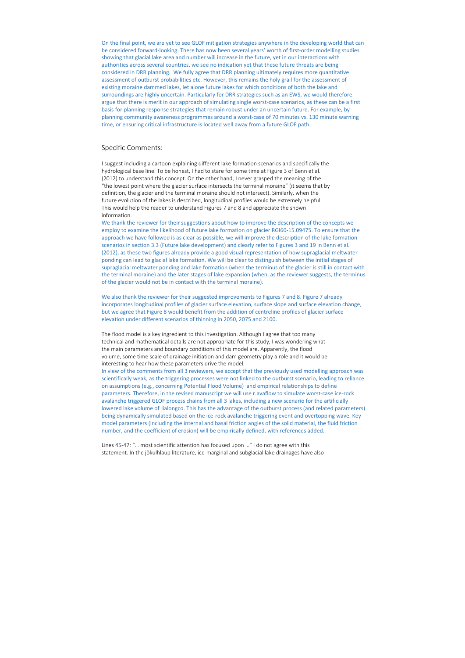On the final point, we are yet to see GLOF mitigation strategies anywhere in the developing world that can be considered forward-looking. There has now been several years' worth of first-order modelling studies showing that glacial lake area and number will increase in the future, yet in our interactions with authorities across several countries, we see no indication yet that these future threats are being considered in DRR planning. We fully agree that DRR planning ultimately requires more quantitative assessment of outburst probabilities etc. However, this remains the holy grail for the assessment of existing moraine dammed lakes, let alone future lakes for which conditions of both the lake and surroundings are highly uncertain. Particularly for DRR strategies such as an EWS, we would therefore argue that there is merit in our approach of simulating single worst‐case scenarios, as these can be a first basis for planning response strategies that remain robust under an uncertain future. For example, by planning community awareness programmes around a worst-case of 70 minutes vs. 130 minute warning time, or ensuring critical infrastructure is located well away from a future GLOF path.

## Specific Comments:

I suggest including a cartoon explaining different lake formation scenarios and specifically the hydrological base line. To be honest, I had to stare for some time at Figure 3 of Benn et al. (2012) to understand this concept. On the other hand, I never grasped the meaning of the "the lowest point where the glacier surface intersects the terminal moraine" (it seems that by definition, the glacier and the terminal moraine should not intersect). Similarly, when the future evolution of the lakes is described, longitudinal profiles would be extremely helpful. This would help the reader to understand Figures 7 and 8 and appreciate the shown information.

We thank the reviewer for their suggestions about how to improve the description of the concepts we employ to examine the likelihood of future lake formation on glacier RGI60‐15.09475. To ensure that the approach we have followed is as clear as possible, we will improve the description of the lake formation scenarios in section 3.3 (Future lake development) and clearly refer to Figures 3 and 19 in Benn et al. (2012), as these two figures already provide a good visual representation of how supraglacial meltwater ponding can lead to glacial lake formation. We will be clear to distinguish between the initial stages of supraglacial meltwater ponding and lake formation (when the terminus of the glacier is still in contact with the terminal moraine) and the later stages of lake expansion (when, as the reviewer suggests, the terminus of the glacier would not be in contact with the terminal moraine).

We also thank the reviewer for their suggested improvements to Figures 7 and 8. Figure 7 already incorporates longitudinal profiles of glacier surface elevation, surface slope and surface elevation change, but we agree that Figure 8 would benefit from the addition of centreline profiles of glacier surface elevation under different scenarios of thinning in 2050, 2075 and 2100.

The flood model is a key ingredient to this investigation. Although I agree that too many technical and mathematical details are not appropriate for this study, I was wondering what the main parameters and boundary conditions of this model are. Apparently, the flood volume, some time scale of drainage initiation and dam geometry play a role and it would be interesting to hear how these parameters drive the model.

In view of the comments from all 3 reviewers, we accept that the previously used modelling approach was scientifically weak, as the triggering processes were not linked to the outburst scenario, leading to reliance on assumptions (e.g., concerning Potential Flood Volume) and empirical relationships to define parameters. Therefore, in the revised manuscript we will use r.avaflow to simulate worst-case ice-rock avalanche triggered GLOF process chains from all 3 lakes, including a new scenario for the artificially lowered lake volume of Jialongco. This has the advantage of the outburst process (and related parameters) being dynamically simulated based on the ice-rock avalanche triggering event and overtopping wave. Key model parameters (including the internal and basal friction angles of the solid material, the fluid friction number, and the coefficient of erosion) will be empirically defined, with references added.

Lines 45‐47: "… most scientific attention has focused upon …" I do not agree with this statement. In the jökulhlaup literature, ice‐marginal and subglacial lake drainages have also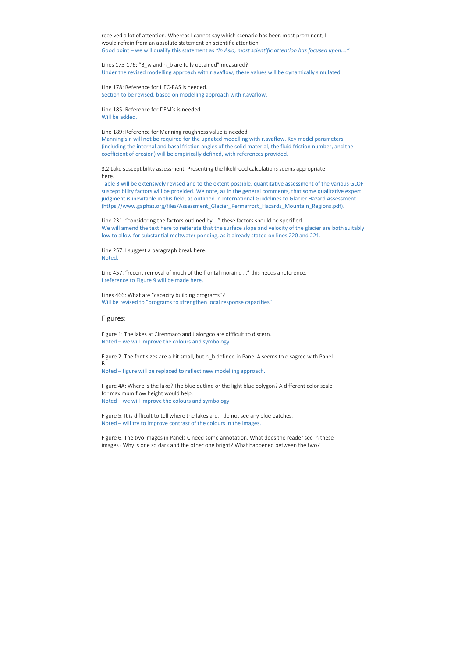received a lot of attention. Whereas I cannot say which scenario has been most prominent, I would refrain from an absolute statement on scientific attention. Good point – we will qualify this statement as *"In Asia, most scientific attention has focused upon…."*

Lines 175-176: "B\_w and h\_b are fully obtained" measured? Under the revised modelling approach with r.avaflow, these values will be dynamically simulated.

Line 178: Reference for HEC‐RAS is needed. Section to be revised, based on modelling approach with r.avaflow.

Line 185: Reference for DEM's is needed. Will be added.

Line 189: Reference for Manning roughness value is needed.

Manning's n will not be required for the updated modelling with r.avaflow. Key model parameters (including the internal and basal friction angles of the solid material, the fluid friction number, and the coefficient of erosion) will be empirically defined, with references provided.

Lines 466: What are "capacity building programs"? Will be revised to "programs to strengthen local response capacities"

3.2 Lake susceptibility assessment: Presenting the likelihood calculations seems appropriate here.

Table 3 will be extensively revised and to the extent possible, quantitative assessment of the various GLOF susceptibility factors will be provided. We note, as in the general comments, that some qualitative expert judgment is inevitable in this field, as outlined in International Guidelines to Glacier Hazard Assessment (https://www.gaphaz.org/files/Assessment\_Glacier\_Permafrost\_Hazards\_Mountain\_Regions.pdf).

Line 231: "considering the factors outlined by …" these factors should be specified. We will amend the text here to reiterate that the surface slope and velocity of the glacier are both suitably low to allow for substantial meltwater ponding, as it already stated on lines 220 and 221.

Line 257: I suggest a paragraph break here. Noted.

Line 457: "recent removal of much of the frontal moraine …" this needs a reference. I reference to Figure 9 will be made here.

Figures:

Figure 1: The lakes at Cirenmaco and Jialongco are difficult to discern. Noted – we will improve the colours and symbology

Figure 2: The font sizes are a bit small, but h\_b defined in Panel A seems to disagree with Panel B.

Noted – figure will be replaced to reflect new modelling approach.

Figure 4A: Where is the lake? The blue outline or the light blue polygon? A different color scale for maximum flow height would help. Noted – we will improve the colours and symbology

Figure 5: It is difficult to tell where the lakes are. I do not see any blue patches. Noted – will try to improve contrast of the colours in the images.

Figure 6: The two images in Panels C need some annotation. What does the reader see in these images? Why is one so dark and the other one bright? What happened between the two?